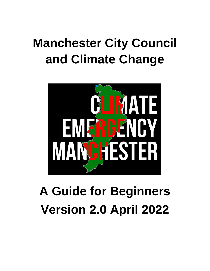# **Manchester City Council and Climate Change**



# **A Guide for Beginners Version 2.0 April 2022**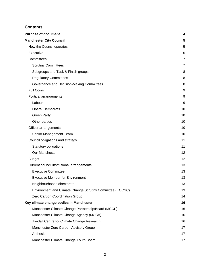#### **Contents**

| <b>Purpose of document</b>                                | 4  |
|-----------------------------------------------------------|----|
| <b>Manchester City Council</b>                            | 5  |
| How the Council operates                                  | 5  |
| Executive                                                 | 6  |
| Committees                                                | 7  |
| <b>Scrutiny Committees</b>                                | 7  |
| Subgroups and Task & Finish groups                        | 8  |
| <b>Regulatory Committees</b>                              | 8  |
| Governance and Decision-Making Committees                 | 8  |
| <b>Full Council</b>                                       | 9  |
| Political arrangements                                    | 9  |
| Labour                                                    | 9  |
| <b>Liberal Democrats</b>                                  | 10 |
| <b>Green Party</b>                                        | 10 |
| Other parties                                             | 10 |
| Officer arrangements                                      | 10 |
| Senior Management Team                                    | 10 |
| Council obligations and strategy                          | 11 |
| Statutory obligations                                     | 11 |
| Our Manchester                                            | 12 |
| <b>Budget</b>                                             | 12 |
| Current council institutional arrangements                | 13 |
| <b>Executive Committee</b>                                | 13 |
| <b>Executive Member for Environment</b>                   | 13 |
| Neighbourhoods directorate                                | 13 |
| Environment and Climate Change Scrutiny Committee (ECCSC) | 13 |
| Zero Carbon Coordination Group                            | 14 |
| Key climate change bodies in Manchester                   | 16 |
| Manchester Climate Change Partnership/Board (MCCP)        | 16 |
| Manchester Climate Change Agency (MCCA)                   | 16 |
| Tyndall Centre for Climate Change Research                | 16 |
| Manchester Zero Carbon Advisory Group                     | 17 |
| Anthesis                                                  | 17 |
| Manchester Climate Change Youth Board                     | 17 |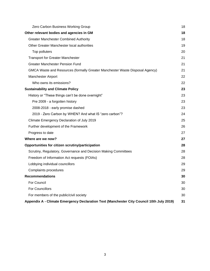| Zero Carbon Business Working Group                                                       | 18 |
|------------------------------------------------------------------------------------------|----|
| Other relevant bodies and agencies in GM                                                 | 18 |
| <b>Greater Manchester Combined Authority</b>                                             | 18 |
| Other Greater Manchester local authorities                                               | 19 |
| Top polluters                                                                            | 20 |
| <b>Transport for Greater Manchester</b>                                                  | 21 |
| <b>Greater Manchester Pension Fund</b>                                                   | 21 |
| GMCA Waste and Resources (formally Greater Manchester Waste Disposal Agency)             | 21 |
| Manchester Airport                                                                       | 22 |
| Who owns its emissions?                                                                  | 22 |
| <b>Sustainability and Climate Policy</b>                                                 | 23 |
| History or "These things can't be done overnight"                                        | 23 |
| Pre 2009 - a forgotten history                                                           | 23 |
| 2008-2018 - early promise dashed                                                         | 23 |
| 2019 - Zero Carbon by WHEN? And what IS "zero carbon"?                                   | 24 |
| Climate Emergency Declaration of July 2019                                               | 25 |
| Further development of the Framework                                                     | 26 |
| Progress to date                                                                         | 27 |
| Where are we now?                                                                        | 27 |
| Opportunities for citizen scrutiny/participation                                         | 28 |
| Scrutiny, Regulatory, Governance and Decision Making Committees                          | 28 |
| Freedom of Information Act requests (FOIAs)                                              | 28 |
| Lobbying individual councillors                                                          | 29 |
| Complaints procedures                                                                    | 29 |
| <b>Recommendations</b>                                                                   | 30 |
| For Council                                                                              | 30 |
| <b>For Councillors</b>                                                                   | 30 |
| For members of the public/civil society                                                  | 30 |
| Appendix A - Climate Emergency Declaration Text (Manchester City Council 10th July 2019) | 31 |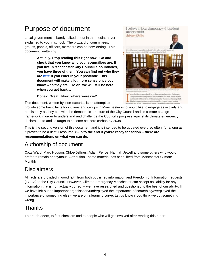# <span id="page-3-0"></span>Purpose of document

Local government is barely talked about in the media, never explained to you in school. The blizzard of committees, groups, panels, officers, members can be bewildering. This document, written by...

> **Actually. Stop reading this right now. Go and check that you know who your councillors are. If you live in Manchester City Council's boundaries, you have three of them. You can find out who they are** [here](https://www.writetothem.com/) **if you enter in your postcode. This document will make a lot more sense once you know who they are. Go on, we will still be here when you get back…**

#### **Done? Great. Now, where were we?**

This document, written by 'non-experts', is an attempt to

I believe in local democracy - I just don't understand it **Adrian Chiles** I don't have any complaints, but if I did, who would<br>Parish or county council? MP or mayor? I'm baffled ۳. as chatting to some locals in a village so covet Christm aning various decisions that had been made - to the detriment, in their view, of the community. There was planning stuff, blocked sewers, restrictions demanded by a preservation society,

ans and so on. These people weren't professional myaners, or ever

provide some basic facts for citizens and groups in Manchester who would like to engage as actively and persistently as they can with the democratic structure of the City Council and its climate change framework in order to understand and challenge the Council's progress against its climate emergency declaration to and its target to become net zero carbon by 2038.

**Tulish** 

This is the second version of this document and it is intended to be updated every so often, for a long as it proves to be a useful resource. **Skip to the end if you're ready for action – there are recommendations on what you can do.**

## Authorship of document

Cazz Ward, Marc Hudson, Chloe Jeffries, Adam Peirce, Hannah Jewell and some others who would prefer to remain anonymous. Attribution - some material has been lifted from Manchester Climate Monthly.

## **Disclaimers**

All facts are provided in good faith from both published information and Freedom of Information requests (FOIAs) to the City Council. However, Climate Emergency Manchester can accept no liability for any information that is not factually correct – we have researched and questioned to the best of our ability. If we have left out an important organisation/underplayed the importance of something/overplayed the importance of something else - we are on a learning curve. Let us know if you think we got something wrong.

## Thanks

To proofreaders, to fact-checkers and to people who will get involved after reading this report.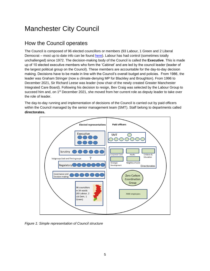# <span id="page-4-0"></span>Manchester City Council

## <span id="page-4-1"></span>How the Council operates

The Council is composed of 96 elected councillors or members (93 Labour, 1 Green and 2 Liberal Democrat – most up to date info can be found [here\)](https://democracy.manchester.gov.uk/mgMemberIndex.aspx?bcr=1). Labour has had control (sometimes totally unchallenged) since 1972. The decision-making body of the Council is called the **Executive**. This is made up of 10 elected executive members who form the 'Cabinet' and are led by the council leader (leader of the largest political group on the Council). These members are accountable for the day-to-day decision making. Decisions have to be made in line with the Council's overall budget and policies. From 1986, the leader was Graham Stringer (now a climate-denying MP for Blackley and Broughton). From 1996 to December 2021, Sir Richard Leese was leader (now chair of the newly created Greater Manchester Integrated Care Board). Following his decision to resign, Bev Craig was selected by the Labour Group to succeed him and, on 1<sup>st</sup> December 2021, she moved from her current role as deputy leader to take over the role of leader.

The day-to-day running and implementation of decisions of the Council is carried out by paid officers within the Council managed by the senior management team (SMT). Staff belong to departments called **directorates.**



*Figure 1: Simple representation of Council structure*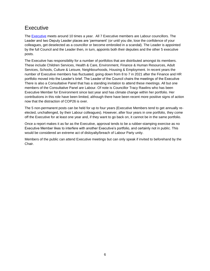## <span id="page-5-0"></span>Executive

The [Executive](https://democracy.manchester.gov.uk/mgCommitteeDetails.aspx?ID=147) meets around 10 times a year. All 7 Executive members are Labour councillors. The Leader and two Deputy Leader places are 'permanent' (or until you die, lose the confidence of your colleagues, get deselected as a councillor or become embroiled in a scandal). The Leader is appointed by the full Council and the Leader then, in turn, appoints both their deputies and the other 5 executive posts.

The Executive has responsibility for a number of portfolios that are distributed amongst its members. These include Children Services, Health & Care, Environment, Finance & Human Resources, Adult Services, Schools, Culture & Leisure, Neighbourhoods, Housing & Employment. In recent years the number of Executive members has fluctuated, going down from 8 to 7 in 2021 after the Finance and HR portfolio moved into the Leader's brief. The Leader of the Council chairs the meetings of the Executive There is also a Consultative Panel that has a standing invitation to attend these meetings. All but one members of the Consultative Panel are Labour. Of note is Councillor Tracy Rawlins who has been Executive Member for Environment since last year and has climate change within her portfolio. Her contributions in this role have been limited, although there have been recent more positive signs of action now that the distraction of COP26 is over.

The 5 non-permanent posts can be held for up to four years (Executive Members tend to get annually reelected, unchallenged, by their Labour colleagues). However, after four years in one portfolio, they come off the Executive for at least one year and, if they want to go back on, it cannot be in the same portfolio.

Once a report makes it as far as the Executive, approval tends to be a rubber-stamping exercise as no Executive Member likes to interfere with another Executive's portfolio, and certainly not in public. This would be considered an extreme act of disloyalty/breach of Labour Party unity.

Members of the public can attend Executive meetings but can only speak if invited to beforehand by the Chair.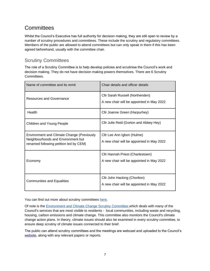## <span id="page-6-0"></span>**Committees**

Whilst the Council's Executive has full authority for decision making, they are still open to review by a number of scrutiny procedures and committees. These include the scrutiny and regulatory committees. Members of the public are allowed to attend committees but can only speak in them if this has been agreed beforehand, usually with the committee chair.

#### <span id="page-6-1"></span>Scrutiny Committees

The role of a Scrutiny Committee is to help develop policies and scrutinise the Council's work and decision making. They do not have decision making powers themselves. There are 6 Scrutiny Committees.

| Name of committee and its remit                                                                                                   | Chair details and officer details                                             |
|-----------------------------------------------------------------------------------------------------------------------------------|-------------------------------------------------------------------------------|
| Resources and Governance                                                                                                          | Cllr Sarah Russell (Northenden)<br>A new chair will be appointed in May 2022  |
| Health                                                                                                                            | Cllr Joanne Green (Harpurhey)                                                 |
| Children and Young People                                                                                                         | Cllr Julie Reid (Gorton and Abbey Hey)                                        |
| <b>Environment and Climate Change (Previously</b><br>Neighbourhoods and Environment but<br>renamed following petition led by CEM) | Cllr Lee Ann Igbon (Hulme)<br>A new chair will be appointed in May 2022       |
| Economy                                                                                                                           | Cllr Hannah Priest (Charlestown)<br>A new chair will be appointed in May 2022 |
| <b>Communities and Equalities</b>                                                                                                 | Cllr John Hacking (Chorlton)<br>A new chair will be appointed in May 2022     |

You can find out more about scrutiny committees [here.](https://democracy.manchester.gov.uk/mgListCommittees.aspx?bcr=1)

Of note is the **[Environment and Climate Change Scrutiny Committee](https://democracy.manchester.gov.uk/mgCommitteeDetails.aspx?ID=358) [w](https://democracy.manchester.gov.uk/mgCommitteeDetails.aspx?ID=148)hich deals with many of the** Council's services that are most visible to residents - local communities, including waste and recycling, housing, carbon emissions and climate change. This committee also monitors the Council's climate change action plans. In theory, climate issues should also be examined in every scrutiny committee, to ensure deep scrutiny of climate issues connected to their brief.

The public can attend scrutiny committees and the meetings are webcast and uploaded to the Council's [website,](https://democracy.manchester.gov.uk/ieDocHome.aspx?bcr=1) along with any relevant papers or reports.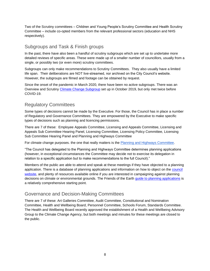Two of the Scrutiny committees – Children and Young People's Scrutiny Committee and Health Scrutiny Committee – include co-opted members from the relevant professional sectors (education and NHS respectively).

#### <span id="page-7-0"></span>Subgroups and Task & Finish groups

In the past, there have also been a handful of scrutiny subgroups which are set up to undertake more detailed reviews of specific areas. These were made up of a smaller number of councillors, usually from a single, or possibly two (or even more) scrutiny committees.

Subgroups can only make recommendations to Scrutiny Committees. They also usually have a limited life span. Their deliberations are NOT live-streamed, nor archived on the City Council's website. However, the subgroups are filmed and footage can be obtained by request.

Since the onset of the pandemic in March 2020, there have been no active subgroups. There was an Overview and Scrutiny [Climate Change Subgroup](https://democracy.manchester.gov.uk/mgCommitteeDetails.aspx?ID=344) set up in October 2019, but only met twice before COVID-19.

#### <span id="page-7-1"></span>Regulatory Committees

Some types of decisions cannot be made by the Executive. For those, the Council has in place a number of Regulatory and Governance Committees. They are empowered by the Executive to make specific types of decisions such as planning and licencing permissions.

There are 7 of these: Employee Appeals Committee, Licensing and Appeals Committee, Licensing and Appeals Sub Committee Hearing Panel, Licensing Committee, Licensing Policy Committee, Licensing Sub Committee Hearing Panel and Planning and Highways Committee

For climate change purposes. the one that really matters is the [Planning and Highways Committee.](https://democracy.manchester.gov.uk/mgCommitteeDetails.aspx?ID=151)

"The Council has delegated to the Planning and Highways Committee determines planning applications (however, in exceptional circumstances the Committee may decide not to exercise its delegation in relation to a specific application but to make recommendations to the full Council)."

Members of the public are able to attend and speak at these meetings if they have objected to a planning application. There is a database of planning applications and information on how to object on the council [website,](https://www.manchester.gov.uk/info/200074/planning/5865/planning_permission) and plenty of resources available online if you are interested in campaigning against planning decisions on climate or environmental grounds. The Friends of the Earth guide [to planning applications](https://friendsoftheearth.uk/system-change/planning-applications-campaigners-guide) is a relatively comprehensive starting point.

#### <span id="page-7-2"></span>Governance and Decision-Making Committees

There are 7 of these: Art Galleries Committee, Audit Committee, Constitutional and Nomination Committee, Health and Wellbeing Board, Personnel Committee, Schools Forum, Standards Committee. The Health and Wellbeing Board recently approved the establishment of a Health and Wellbeing Advisory Group to the Climate Change Agency, but both meetings and minutes for these meetings are closed to the public.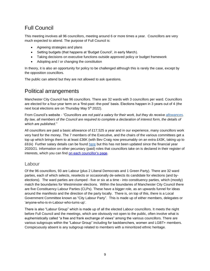## <span id="page-8-0"></span>Full Council

This meeting involves all 96 councillors, meeting around 6 or more times a year. Councillors are very much expected to attend. The purpose of Full Council is:

- Agreeing strategies and plans
- Setting budgets (that happens at 'Budget Council', in early March).
- Taking decisions on executive functions outside approved policy or budget framework
- Adopting and / or changing the constitution

In theory, it is also an opportunity for policy to be challenged although this is rarely the case, except by the opposition councillors.

The public can attend but they are not allowed to ask questions.

## <span id="page-8-1"></span>Political arrangements

Manchester City Council has 96 councillors. There are 32 wards with 3 councillors per ward. Councillors are elected for a four-year term on a 'first-past -the-post' basis. Elections happen in 3 years out of 4 (the next local elections are on Thursday May 5<sup>th</sup> 2022).

From Council's website - *"Councillors are not paid a salary for their work, but they do receive [allowances.](https://democracy.manchester.gov.uk/mgMemberIndex.aspx?bcr=1#allowances) By law, all members of the Council are required to complete a declaration of interest form, the details of which are published."*

All councillors are paid a basic allowance of £17,525 a year and in our experience, many councillors work very hard for the money. The 7 members of the Executive, and the chairs of the various committees get a top up which brings them to at least £36K (with Bev Craig now presumably on an extra £43K, taking up to £61k) Further salary details can be found [here](https://democracy.manchester.gov.uk/documents/s24533/Statutory%20Notice%20of%20Allowances%20202021.pdf) but this has not been updated since the financial year 2020/21. Information on other pecuniary (paid) roles that councillors take on is declared in their register of interests, which you can find [on each councillor's page.](https://democracy.manchester.gov.uk/mgMemberIndex.aspx?bcr=1)

#### <span id="page-8-2"></span>Labour

Of the 96 councillors, 93 are Labour (plus 2 Liberal Democrats and 1 Green Party). There are 32 ward parties, each of which selects, reselects or occasionally de-selects its candidate for elections (and byelections). The ward parties are clumped - five or six at a time - into constituency parties, which (mostly) match the boundaries for Westminster elections. Within the boundaries of Manchester City Council there are five Constituency Labour Parties (CLPs). These have a bigger role, as an upwards funnel for ideas around the manifesto and the direction of the party locally. There is, on top of this, there is a Local Government Committee known as "City Labour Party". This is made up of either members, delegates or 'anyone-who-is-in-Labour-who-turns-up'.

There is also "Labour Group" which is made up of all the elected Labour councillors. It meets the night before Full Council and the meetings, which are obviously not open to the public, often involve what is euphemistically called "a free and frank exchange of views" among the various councillors. There are various subgroups within the "Labour Group" including for backbenchers, women and LGBT+ members. Conspicuously absent is any subgroup related to members with a minoritized ethnic heritage.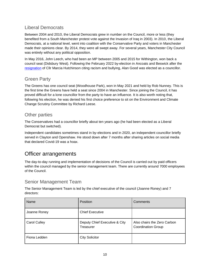#### <span id="page-9-0"></span>Liberal Democrats

Between 2004 and 2010, the Liberal Democrats grew in number on the Council, more or less (they benefited from a South Manchester protest vote against the Invasion of Iraq in 2003). In 2010, the Liberal Democrats, at a national level, went into coalition with the Conservative Party and voters in Manchester made their opinions clear. By 2014, they were all swept away. For several years, Manchester City Council was entirely without any political opposition.

In May 2016, John Leech, who had been an MP between 2005 and 2015 for Withington, won back a council seat (Didsbury West). Following the February 2022 by-election in Ancoats and Beswick after the [resignation](https://skwawkbox.org/2021/12/23/resigning-councillor-labour-excluded-black-members-so-white-man-chosen-to-replace-me/) of Cllr Marcia Hutchinson citing racism and bullying, Alan Good was elected as a councillor.

#### <span id="page-9-1"></span>Green Party

The Greens has one council seat (Woodhouse Park), won in May 2021 and held by Rob Nunney. This is the first time the Greens have held a seat since 2004 in Manchester. Since joining the Council, it has proved difficult for a lone councillor from the party to have an influence. It is also worth noting that, following his election, he was denied his first choice preference to sit on the Environment and Climate Change Scrutiny Committee by Richard Leese.

#### <span id="page-9-2"></span>Other parties

The Conservatives had a councillor briefly about ten years ago (he had been elected as a Liberal Democrat but switched).

Independent candidates sometimes stand in by-elections and in 2020, an independent councillor briefly served in Clayton and Openshaw. He stood down after 7 months after sharing articles on social media that declared Covid-19 was a hoax.

## <span id="page-9-3"></span>Officer arrangements

The day-to-day running and implementation of decisions of the Council is carried out by paid officers within the council managed by the senior management team. There are currently around 7000 employees of the Council.

#### <span id="page-9-4"></span>Senior Management Team

The Senior Management Team is led by the chief executive of the council (Joanne Roney) and 7 directors:

| Name                | <b>Position</b>                            | Comments                                                 |
|---------------------|--------------------------------------------|----------------------------------------------------------|
| Joanne Roney        | <b>Chief Executive</b>                     |                                                          |
| <b>Carol Culley</b> | Deputy Chief Executive & City<br>Treasurer | Also chairs the Zero Carbon<br><b>Coordination Group</b> |
| Fiona Ledden        | <b>City Solicitor</b>                      |                                                          |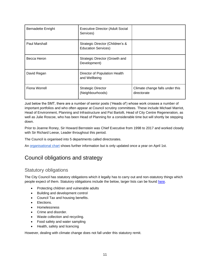| <b>Bernadette Enright</b> | <b>Executive Director (Adult Social</b><br>Services)           |                                                |
|---------------------------|----------------------------------------------------------------|------------------------------------------------|
| Paul Marshall             | Strategic Director (Children's &<br><b>Education Services)</b> |                                                |
| Becca Heron               | Strategic Director (Growth and<br>Development)                 |                                                |
| David Regan               | Director of Population Health<br>and Wellbeing                 |                                                |
| Fiona Worrell             | <b>Strategic Director</b><br>(Neighbourhoods)                  | Climate change falls under this<br>directorate |

Just below the SMT, there are a number of senior posts ('Heads of') whose work crosses a number of important portfolios and who often appear at Council scrutiny committees. These include Michael Marriot, Head of Environment, Planning and Infrastructure and Pat Bartolli, Head of City Centre Regeneration, as well as Julie Roscoe, who has been Head of Planning for a considerable time but will shortly be stepping down.

Prior to Joanne Roney, Sir Howard Bernstein was Chief Executive from 1998 to 2017 and worked closely with Sir Richard Leese, Leader throughout this period.

The Council is organised into 5 departments called directorates.

An [organisational chart](https://www.manchester.gov.uk/info/100004/the_council_and_democracy/7708/our_organisation) shows further information but is only updated once a year on April 1st.

## <span id="page-10-0"></span>Council obligations and strategy

#### <span id="page-10-1"></span>Statutory obligations

The City Council has statutory obligations which it legally has to carry out and non-statutory things which people expect of them. Statutory obligations include the below, larger lists can be found [here.](https://data.gov.uk/dataset/01171494-e40b-463f-9967-56d158412321/statutory-duties-placed-on-local-government)

- Protecting children and vulnerable adults
- Building and development control
- Council Tax and housing benefits.
- Elections.
- Homelessness
- Crime and disorder.
- Waste collection and recycling.
- Food safety and water sampling
- Health, safety and licencing

However, dealing with climate change does not fall under this statutory remit.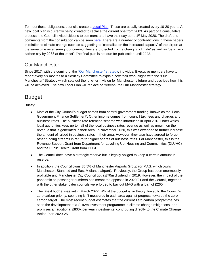To meet these obligations, councils create a [Local Plan.](https://climateemergencymanchester.net/2022/04/07/throwback-thursdays-manchester-city-councils-local-plan/) These are usually created every 10-20 years. A new local plan is currently being created to replace the current one from 2003. As part of a consultative process, the Council invited citizens to comment and have their say up to 1<sup>st</sup> May 2020. The draft and comments from the consultation can be seen [here.](https://manchester-consult.objective.co.uk/portal/planning/issues_and_options_2020/lpi) There are a number of contradictions in these papers in relation to climate change such as suggesting to 'capitalise on the increased capacity' of the airport at the same time as ensuring 'our communities are protected from a changing climate' as well as 'be a zero carbon city by 2038 at the latest'. The final plan is not due for publication until 2023.

#### <span id="page-11-0"></span>Our Manchester

Since 2017, with the coming of the ["Our Manchester" strategy,](https://www.manchester.gov.uk/downloads/download/6426/the_manchester_strategy) individual Executive members have to report every six months to a Scrutiny Committee to explain how their work aligns with the "Our Manchester" Strategy which sets out the long-term vision for Manchester's future and describes how this will be achieved. The new Local Plan will replace or "refresh" the Our Manchester strategy.

## <span id="page-11-1"></span>Budget

Briefly:

- Most of the City Council's budget comes from central government funding, known as the 'Local Government Finance Settlement'. Other income comes from council tax, fees and charges and business rates. The business rate retention scheme was introduced in April 2013 under which local authorities keep up to half of the local business rates revenue as well as growth on the revenue that is generated in their area. In November 2020, this was extended to further increase the amount of raised in business rates in their area. However, they also have agreed to forgo other funding streams in return for higher shares of business rates. For Manchester, this is the Revenue Support Grant from Department for Levelling Up, Housing and Communities (DLUHC) and the Public Health Grant from DHSC.
- The Council does have a strategic reserve but is legally obliged to keep a certain amount in reserve.
- In addition, the Council owns 35.5% of Manchester Airports Group (or MAG, which owns Manchester, Stansted and East Midlands airport). Previously, the Group has been enormously profitable and Manchester City Council got a £70m dividend in 2019. However, the impact of the pandemic on passenger numbers has meant the opposite in 2020/21 and the Council, together with the other stakeholder councils were forced to bail out MAG with a loan of £260m.
- The latest budget was set in March 2022. Whilst the budget is, in theory, linked to the Council's zero carbon priority, spending isn't measured in each area against progress towards the zero carbon target. The most recent budget estimates that the current zero carbon programme has seen the development of a £192m investment programme in climate change mitigations, and promises an additional £800k per year investments, contributing directly to the Climate Change Action Plan 2020-25.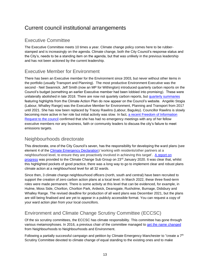## <span id="page-12-0"></span>Current council institutional arrangements

#### <span id="page-12-1"></span>Executive Committee

The Executive Committee meets 10 times a year. Climate change policy comes here to be rubberstamped and is increasingly on the agenda. Climate change, both the City Council's response status and the City's, needs to be a standing item on the agenda, but that was unlikely in the previous leadership and has not been actioned by the current leadership.

#### <span id="page-12-2"></span>Executive Member for Environment

There has been an Executive member for the Environment since 2003, but never without other items in the portfolio (usually Transport and Planning). The most productive Environment Executive was the second - Neil Swannick. Jeff Smith (now an MP for Withington) introduced quarterly carbon reports on the Council's budget (something an earlier Executive member had been lobbied into promising). These were unilaterally abolished in late 2018. There are now not quartely carbon reports, but [quarterly summaries](https://www.manchester.gov.uk/info/500002/council_policies_and_strategies/3833/zero_carbon_manchester/5) featuring highlights from the Climate Action Plan do now appear on the Council's website. Angeliki Stogia (Labour, Whalley Range) was the Executive Member for Environment, Planning and Transport from 2017 until 2021. She has now been replaced by Tracey Rawlins (Labour, Baguley). Councillor Rawlins is slowly becoming more active in her role but initial activity was slow. In fact, [a recent Freedom of Information](https://manchesterclimatemonthly.net/2021/12/06/council-environment-leader-holds-takes-no-emergency-action-on-carbon-budget-blow-out/)  [Request to the council](https://manchesterclimatemonthly.net/2021/12/06/council-environment-leader-holds-takes-no-emergency-action-on-carbon-budget-blow-out/) confirmed that she has had no emergency meetings with any of her fellow executive members nor any business, faith or community leaders to discuss the city's failure to meet emissions targets.

#### <span id="page-12-3"></span>Neighbourhoods directorate

This directorate, one of the City Council's seven, has the responsibility for developing the ward plans (see element 4 of the [Climate Emergency Declaration\)](#page-29-4) 'working with residents/other partners at a neighbourhood level, to ensure they are proactively involved in achieving this target'. [A report on](https://democracy.manchester.gov.uk/documents/s14099/ClimateEmergencyCommunityEngagementReport.pdf)  [progress](https://democracy.manchester.gov.uk/documents/s14099/ClimateEmergencyCommunityEngagementReport.pdf) was provided to the Climate Change Sub Group on 23<sup>rd</sup> January 2020. It was clear that, whilst this highlighted pockets of good practice, there was a long way to go to implement clear and robust plans climate action at a neighbourhood level for all 32 wards.

Since then, 3 climate change neighbourhood officers (north, south and central) have been recruited to support the creation of zero carbon action plans at a local level. In March 2022, these three fixed-term roles were made permanent. There is some activity at this level that can be evidenced, for example, in Hulme, Moss Side, Chorlton, Chorlton Park, Ardwick, Deansgate, Rusholme, Burnage, Didsbury and Whalley Range. The revised deadline for production of all ward plans was December 2021, but the plans are still being finalised and are yet to appear in a publicly accessible format. You can request a copy of your ward action plan from your local councillors.

#### <span id="page-12-4"></span>Environment and Climate Change Scrutiny Committee (ECCSC)

Of the six scrutiny committees, the ECCSC has climate responsibility. This committee has gone through various metamorphoses. In 2016, a previous chair of the committee managed to [get the name changed](https://manchesterclimatemonthly.net/2016/03/16/exclusive-manchester-city-council-renames-neighbourhoods-scrutiny-committee/)  from Neighbourhoods to Neighbourhoods and Environment.

Following a partially successful campaign and petition by Climate Emergency Manchester to "create a 7<sup>th</sup> Scrutiny Committee devoted to climate change of equal standing to the existing ones and to make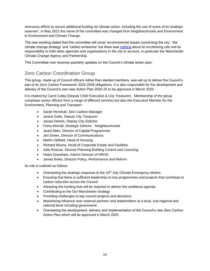strenuous efforts to secure additional funding for climate action, including the use of some of its strategic reserves", in May 2021 the name of the committee was changed from Neighbourhoods and Environment to Environment and Climate Change.

The new wording stated that this committee will cover 'environmental issues concerning the city', 'the climate change strategy' and 'carbon emissions' but there was [nothing](https://climateemergencymanchester.net/2021/03/26/proposed-revisions-to-the-scrutiny-committees-of-manchester-city-council-what-they-mean-and-what-you-can-do-to-make-them-stronger/) about its scrutinising role and its responsibility to hold other agencies and organisations in the city to account, in particular the Manchester Climate Change Agency and Partnership.

This Committee now receives quarterly updates on the Council's climate action plan.

#### <span id="page-13-0"></span>Zero Carbon Coordination Group

This group, made up of Council officers rather than elected members, was set up to deliver the Council's part of its Zero Carbon Framework 2020-2038 obligations. It is also responsible for the development and delivery of the Council's own new Action Plan 2020-25 to be approved in March 2020.

It is chaired by Carol Culley (Deputy Chief Executive & City Treasurer). Membership of the group comprises senior officers from a range of different services but also the Executive Member for the Environment, Planning and Transport:

- Sarah Henshall, Zero Carbon Manager
- Janice Gotts, Deputy City Treasurer
- Jacqui Dennis, Deputy City Solicitor
- Fiona Worrall, Strategic Director Neighbourhoods
- Jared Allen, Director of Capital Programmes
- Jen Green, Director of Communications
- Martin Oldfield, Head of Housing
- Richard Munns, Head of Corporate Estate and Facilities
- Julie Roscoe, Director Planning Building Control and Licencing
- Helen Grantham, Interim Director of HROD
- James Binks, Director Policy, Performance and Reform

Its role is outlined as follows:

- Overseeing the strategic response to the 10<sup>th</sup> July Climate Emergency Motion
- Ensuring that there is sufficient leadership on key programmes and projects that contribute to carbon reduction across the Council
- Attracting the funding that will be required to deliver this ambitious agenda
- Contributing to the Our Manchester strategy
- Providing challenges to key council projects and decisions
- Maximising influence over external partners and stakeholders at a local, sub-regional and national level including government
- Overseeing the development, delivery and implementation of the Council's new Zero Carbon Action Plan which will be approved in March 2020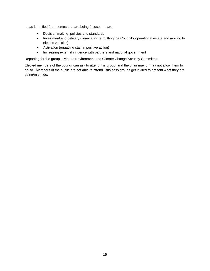It has identified four themes that are being focused on are:

- Decision making, policies and standards
- Investment and delivery (finance for retrofitting the Council's operational estate and moving to electric vehicles)
- Activation (engaging staff in positive action)
- Increasing external influence with partners and national government

Reporting for the group is via the Environment and Climate Change Scrutiny Committee.

Elected members of the council can ask to attend this group, and the chair may or may not allow them to do so. Members of the public are not able to attend. Business groups get invited to present what they are doing/might do.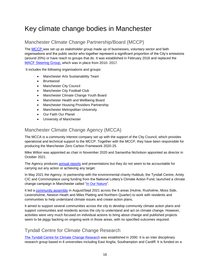# <span id="page-15-0"></span>Key climate change bodies in Manchester

#### <span id="page-15-1"></span>Manchester Climate Change Partnership/Board (MCCP)

The [MCCP](http://manchesterclimate.com/MCCP) was set up as stakeholder group made up of businesses, voluntary sector and faith organisations and the public sector who together represent a significant proportion of the City's emissions (around 20%) or have reach to groups that do. It was established in February 2018 and replaced th[e](http://manchesterclimate.com/involved/manchester-certain-future-steering-group) [MACF Steering Group,](http://manchesterclimate.com/involved/manchester-certain-future-steering-group) which was in place from 2010- 2017.

It includes the following organisations and groups:

- Manchester Arts Sustainability Team
- Bruntwood
- Manchester City Council
- Manchester City Football Club
- Manchester Climate Change Youth Board
- Manchester Health and Wellbeing Board
- Manchester Housing Providers Partnership
- Manchester Metropolitan University
- Our Faith Our Planet
- University of Manchester

#### <span id="page-15-2"></span>Manchester Climate Change Agency (MCCA)

The MCCA is a community interest company set up with the support of the City Council, which provides operational and technical support to the MCCP. Together with the MCCP, they have been responsible for producing the Manchester Zero Carbon Framework 2020-25.

Mike Wilton was appointed as chair in November 2020 and Samantha Nicholson appointed as director in October 2021.

The Agency produces [annual reports](https://www.manchesterclimate.com/progress) and presentations but they do not seem to be accountable for carrying out any action or achieving any target.

In May 2021 the Agency, in partnership with the environmental charity Hubbub, the Tyndall Centre, Amity CIC and Commonplace using funding from the National Lottery's Climate Action Fund, launched a climate change campaign in Manchester called ["In Our Nature"](https://zerocarbonmanchester.commonplace.is/).

It led a [community assembly](https://zerocarbonmanchester.commonplace.is/proposals/in-our-nature-community-assembly/step1.) in August/Sept 2021 across the 6 areas (Hulme, Rusholme, Moss Side, Levenshulme, Newton Heath and Miles Platting and Northern Quarter) to work with residents and communities to help understand climate issues and create action plans.

It aimed to support several communities across the city to develop community climate action plans and support communities and residents across the city to understand and act on climate change. However, activities were very much focused on individual actions to bring about change and published projects seem to be piggy backing on ongoing work in those areas, with no specified outcomes required.

#### <span id="page-15-3"></span>Tyndall Centre for Climate Change Research

[The Tyndall Centre for Climate Change Research](https://www.tyndall.ac.uk/) was established in 2000. It is an inter disciplinary research group based in 6 universities including East Anglia, Southampton and Cardiff. It is funded on a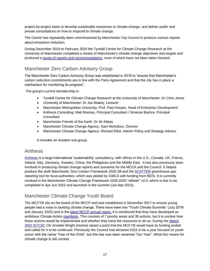project-by-project basis to develop sustainable responses to climate change, and deliver public and private consultations on how to respond to climate change.

The Centre has repeatedly been commissioned by Manchester City Council to produce various reports about emissions reduction.

During December 2019 to February 2020 the Tyndall Centre for Climate Change Research at the University of Manchester completed a review of Manchester's climate change objectives and targets and produced a [series of reports and recommendations,](https://www.manchesterclimate.com/targets-2020) most of which have not been taken forward.

#### <span id="page-16-0"></span>Manchester Zero Carbon Advisory Group

The Manchester Zero Carbon Advisory Group was established in 2019 to "ensure that Manchester's carbon reduction commitments are in line with the Paris Agreement and that the city has in place a mechanism for monitoring its progress".

The group's current membership is:

- Tyndall Centre for Climate Change Research at the University of Manchester: Dr Chris Jones
- University of Manchester: Dr Joe Blakey, Lecturer
- Manchester Metropolitan University: Prof. Paul Hooper, Head of Enterprise Development
- Anthesis Consulting: Matt Rooney, Principal Consultant / Simeran Bachra, Principal **Consultant**
- Manchester Friends of the Earth: Dr Ali Abbas
- Manchester Climate Change Agency: Sam Nicholson, Director
- Manchester Climate Change Agency: Richard Elliot, Interim Policy and Strategy Advisor

It includes an Aviation sub-group.

#### <span id="page-16-1"></span>Anthesis

[Anthesis](https://www.anthesisgroup.com/) is a large international 'sustainability' consultancy, with offices in the U.S., Canada, UK, France, Ireland, Italy, Germany, Sweden, China, the Philippines and the Middle East. It has also previously been involved in producing climate change reports and scenarios for the MCCA and the Council. It helped produce the draft Manchester Zero Carbon Framework 2020-38 and the [SCATTER](https://www.anthesisgroup.com/scatter-greenhouse-gas-tool-offers-a-quicker-easier-solution-for-cities-to-deliver-comprehensive-climate-action/) greenhouse gas reporting tool for local authorities, which was piloted by GMCA with funding from BEIS. It is currently involved in the Manchester Climate Change Framework 2020-2025 "refresh" v2.0, which is due to be completed in Apr-Jun 2022 and launched in the summer (Jul-Sep 2022).

#### <span id="page-16-2"></span>Manchester Climate Change Youth Board

The MCCYB sits on the board of the MCCP and was established in November 2017 to ensure young people had a voice in tackling climate change. There have been two "Youth Climate Summits" (July 2019 and January 2020) and in the [latest MCCP annual report,](https://www.manchesterclimate.com/sites/default/files/MCCA%20Annual%20Report%202021%20Final.pdf) it is mentioned that they have developed an ambitious Climate Action [manifesto.](https://www.manchesterclimate.com/sites/default/files/MCCYB%20Manifesto_0.pdf) This consists of 7 priority areas and 35 actions, but it is unclear how those actions would be implemented and whether they have the resources to do so. During the [March](https://democracy.manchester.gov.uk/documents/g3980/Printed%20minutes%2010th-Mar-2022%2010.00%20Environment%20and%20Climate%20Change%20Scrutiny%20Committee.pdf?T=1)  [2022 ECCSC](https://democracy.manchester.gov.uk/documents/g3980/Printed%20minutes%2010th-Mar-2022%2010.00%20Environment%20and%20Climate%20Change%20Scrutiny%20Committee.pdf?T=1) Cllr Annette Wright (Hulme) raised a point that the MCCYB would have its funding ended and called for it to be continued. Previously the Council had declared 2022 to be a year focused on youth action with the name "Year of the Child", but this has now been renamed "Our Year". What this means for climate change is still unclear.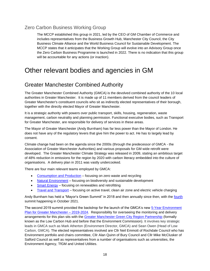#### <span id="page-17-0"></span>Zero Carbon Business Working Group

The MCCP established this group in 2021, led by the CEO of GM Chamber of Commerce and includes representatives from the Business Growth Hub, Manchester City Council, the City Business Climate Alliance and the World Business Council for Sustainable Development. The MCCP states that it anticipates that the Working Group will evolve into an Advisory Group once the Zero Carbon Business Programme is launched in 2022. There is no indication that this group will be accountable for any actions (or inaction).

## <span id="page-17-1"></span>Other relevant bodies and agencies in GM

## <span id="page-17-2"></span>Greater Manchester Combined Authority

The Greater Manchester Combined Authority (GMCA) is the devolved combined authority of the 10 local authorities in Greater Manchester. It is made up of 11 members derived from the council leaders of Greater Manchester's constituent councils who sit as indirectly elected representatives of their borough, together with the directly elected Mayor of Greater Manchester.

It is a strategic authority with powers over public transport, skills, housing, regeneration, waste management, carbon neutrality and planning permission. Functional executive bodies, such as Transport for Greater Manchester, are responsible for delivery of services in these areas.

The Mayor of Greater Manchester (Andy Burnham) has far less power than the Mayor of London. He does not have any of the regulatory levers that give him the power to act. He has to largely lead by consent.

Climate change had been on the agenda since the 2000s (through the predecessor of GMCA - the Association of Greater Manchester Authorities) and various proposals for GM wide retrofit were developed. The Greater Manchester Climate Strategy was released in 2009, stating an ambitious target of 48% reduction in emissions for the region by 2020 with carbon literacy embedded into the culture of organisations. A delivery plan in 2011 was vastly undercooked.

There are four main relevant teams employed by GMCA:

- [Consumption and Production](https://gmgreencity.com/consumption-and-production-team/) focusing on zero waste and recycling
- [Natural Environment](https://gmgreencity.com/natural-environment-team/) focusing on biodiversity and sustainable development
- [Smart Energy](https://gmgreencity.com/smart-energy-team/) focusing on renewables and retrofitting
- [Travel and Transport](https://gmgreencity.com/transport-and-travel-team/) focusing on active travel, clean air zone and electric vehicle charging

Andy Burnham has held a "Mayor's Green Summit" in 2018 and then annually since then, with the [fourth](https://gmgreencity.com/gm-green-summit-2021/) summit happening in October 2021.

The second 2019 summit provided the backdrop for the launch of the GMCA's new [5-Year Environment](https://www.greatermanchester-ca.gov.uk/media/1986/5-year-plan-branded_3.pdf)  [Plan for Greater Manchester –](https://www.greatermanchester-ca.gov.uk/media/1986/5-year-plan-branded_3.pdf) 2019-2024. Responsibility for overseeing the monitoring and delivery arrangements for this plan sits with the [Greater Manchester Green City Region Partnership](https://democracy.greatermanchester-ca.gov.uk/ieListMeetings.aspx?CommitteeId=381) (formally known as the Low Carbon Hub and before that the Environment Commission). It involves key strategic leads in GMCA such as Mark Atherton (Environment Director, GMCA) and Sean Owen (Head of Low Carbon, GMCA). The elected representatives involved are Cllr Neil Emmott of Rochdale Council who has Environment portfolio and chairs committee, Cllr Alan Quinn of Bury Council and Cllr Mike McClusker of Salford Council as well as representatives from a number of organisations such as universities, the Environment Agency, TfGM and United Utilities.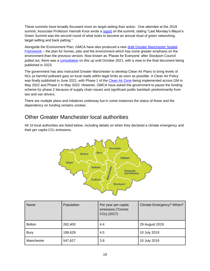These summits have broadly focussed more on target setting than action. One attendee at the 2019 summit, Associate Professor Hannah Knox wrote a [report](https://manchesterclimatemonthly.net/2019/04/03/the-mayors-green-summit-another-point-of-view/) on the summit, stating "Last Monday's Mayor's Green Summit was the second round of what looks to become an annual ritual of green networking, target setting and back patting."

Alongside the Environment Plan, GMCA have also produced a new [draft Greater Manchester Spatial](https://www.greatermanchester-ca.gov.uk/what-we-do/housing/greater-manchester-spatial-framework/)  [Framework](https://www.greatermanchester-ca.gov.uk/what-we-do/housing/greater-manchester-spatial-framework/) – the plan for homes, jobs and the environment which has some greater emphasis on the environment than the previous version. Now known as 'Places for Everyone' after Stockport Council pulled out, there was a [consultation](https://www.gmconsult.org/communications-and-engagement-team/pfe/) on this up until October 2021, with a view to the final document being published in 2023.

The government has also instructed Greater Manchester to develop Clean Air Plans to bring levels of NO<sub>2</sub> (a harmful pollutant gas) on local roads within legal limits as soon as possible. A Clean Air Policy was finally published in June 2021, with Phase 1 of the [Clean Air Zone](https://cleanairgm.com/) being implemented across GM in May 2022 and Phase 2 in May 2023. However, GMCA have asked the government to pause the funding scheme for phase 2 because of supply chain issues and significant public backlash predominantly from taxi and van drivers.

There are multiple plans and initiatives underway but in some instances the status of these and the dependency on funding remains unclear.

## <span id="page-18-0"></span>Other Greater Manchester local authorities

All 10 local authorities are listed below, including details on when they declared a climate emergency and their per capita CO<sub>2</sub> emissions.



| Name          | Population | Per year per capita<br>emissions (Tonnes<br>$CO2$ ) (2017) | Climate Emergency? When? |
|---------------|------------|------------------------------------------------------------|--------------------------|
| <b>Bolton</b> | 262,400    | 4.4                                                        | 29 August 2019           |
| <b>Bury</b>   | 189,628    | 4.5                                                        | 10 July 2019             |
| Manchester    | 547,627    | 3.8                                                        | 10 July 2019             |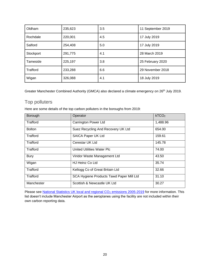| Oldham          | 235,623 | 3.5 | 11 September 2019 |
|-----------------|---------|-----|-------------------|
| Rochdale        | 220,001 | 4.5 | 17 July 2019      |
| Salford         | 254,408 | 5.0 | 17 July 2019      |
| Stockport       | 291,775 | 4.1 | 28 March 2019     |
| Tameside        | 225,197 | 3.8 | 25 February 2020  |
| <b>Trafford</b> | 233,288 | 6.6 | 29 November 2018  |
| Wigan           | 326,088 | 4.1 | 18 July 2019      |

Greater Manchester Combined Authority (GMCA) also declared a climate emergency on 26<sup>th</sup> July 2019.

#### <span id="page-19-0"></span>Top polluters

Here are some details of the top carbon polluters in the boroughs from 2019:

| Borough       | Operator                                 | kTCO <sub>2</sub> |
|---------------|------------------------------------------|-------------------|
| Trafford      | <b>Carrington Power Ltd</b>              | 1,488.96          |
| <b>Bolton</b> | Suez Recycling And Recovery UK Ltd       | 654.00            |
| Trafford      | SAICA Paper UK Ltd                       | 159.61            |
| Trafford      | Cerestar UK Ltd                          | 145.78            |
| Trafford      | <b>United Utilities Water Plc</b>        | 74.00             |
| <b>Bury</b>   | Viridor Waste Management Ltd             | 43.50             |
| Wigan         | HJ Heinz Co Ltd                          | 35.74             |
| Trafford      | Kellogg Co of Great Britain Ltd          | 32.66             |
| Trafford      | SCA Hygiene Products Tawd Paper Mill Ltd | 31.10             |
| Manchester    | Scottish & Newcastle UK Ltd              | 30.27             |

Please see National Statistics [UK local and regional CO](https://assets.publishing.service.gov.uk/government/uploads/system/uploads/attachment_data/file/996057/2005-19_UK_local_and_regional_CO2_emissions.xlsx)<sub>2</sub> emissions 2005-2019</u> for more information. This list doesn't include Manchester Airport as the aeroplanes using the facility are not included within their own carbon reporting data.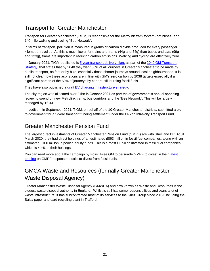## <span id="page-20-0"></span>Transport for Greater Manchester

Transport for Greater Manchester (TfGM) is responsible for the Metrolink tram system (not buses) and 140-mile walking and cycling "Bee Network".

In terms of transport, pollution is measured in grams of carbon dioxide produced for every passenger kilometre travelled. As this is much lower for trains and trams (44g and 54g) than buses and cars (99g and 123g), trams are important in reducing carbon emissions. Walking and cycling are effectively zero.

In January 2021, TfGM published is [5 year transport delivery plan,](https://tfgm.com/our-five-year-transport-delivery-plan) as part of the [2040 GM Transport](https://tfgm.com/2040-transport-strategy)  [Strategy,](https://tfgm.com/2040-transport-strategy) that states that by 2040 they want 50% of all journeys in Greater Manchester to be made by public transport, on foot or by bike, especially those shorter journeys around local neighbourhoods. It is still not clear how these aspirations are in line with GM's zero carbon by 2038 targets especially if a significant portion of the 50% of journeys by car are still burning fossil fuels.

They have also published a [draft EV charging infrastructure strategy.](https://electrictravel.tfgm.com/greater-manchesters-ev-strategy/)

The city region was allocated over £1bn in October 2021 as part the of government's annual spending review to spend on new Metrolink trams, bus corridors and the "Bee Network". This will be largely managed by TfGM.

In addition, in September 2021, TfGM, on behalf of the 10 Greater Manchester districts, submitted a bid to government for a 5-year transport funding settlement under the £4.2bn Intra-city Transport Fund.

## <span id="page-20-1"></span>Greater Manchester Pension Fund

The largest direct investments of Greater Manchester Pension Fund (GMPF) are with Shell and BP. At 31 March 2020, they had direct holdings of an estimated £863 million in fossil fuel companies, along with an estimated £100 million in pooled equity funds. This is almost £1 billion invested in fossil fuel companies, which is 4.4% of their holdings.

You can read more about the campaign by Fossil Free GM to persuade GMPF to divest in their latest [briefing](http://fossilfreegm.org.uk/wp-content/uploads/2021/10/Fossil-Free-GM-fact-check-briefing-Oct-2021.pdf) on GMPF response to calls to divest from fossil fuels.

## <span id="page-20-2"></span>GMCA Waste and Resources (formally Greater Manchester Waste Disposal Agency)

Greater Manchester Waste Disposal Agency (GMWDA) and now known as Waste and Resources is the biggest waste disposal authority in England. Whilst is still has some responsibilities and owns a lot of waste infrastructure, it has subcontracted most of its services to the Suez Group since 2019, including the Saica paper and card recycling plant in Trafford.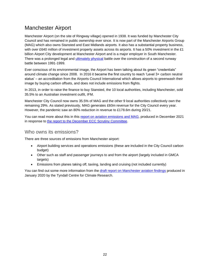## <span id="page-21-0"></span>Manchester Airport

Manchester Airport (on the site of Ringway village) opened in 1938. It was funded by Manchester City Council and has remained in public ownership ever since. It is now part of the Manchester Airports Group (MAG) which also owns Stansted and East Midlands airports. It also has a substantial property business, with over £640 million of investment property assets across its airports. It has a 50% investment in the £1 billion Airport City development at Manchester Airport and is a major employer in South Manchester. There was a prolonged legal and [ultimately physical](https://www.airportwatch.org.uk/uk-airports/manchester-airport/history-of-the-manchester-airport-second-runway-battle/) battle over the construction of a second runway battle between 1991-1999.

Ever conscious of its environmental image, the Airport has been talking about its green "credentials" around climate change since 2008. In 2016 it became the first country to reach 'Level 3+ carbon neutral status' – an accreditation from the Airports Council International which allows airports to greenwash their image by buying carbon offsets, and does not include emissions from flights.

In 2013, in order to raise the finance to buy Stansted, the 10 local authorities, including Manchester, sold 35.5% to an Australian investment outfit, IFM.

Manchester City Council now owns 35.5% of MAG and the other 9 local authorities collectively own the remaining 29%. As stated previously, MAG generates £60m revenue for the City Council every year. However, the pandemic saw an 80% reduction in revenue to £178.6m during 20/21.

You can read more about this in this [report on aviation emissions and MAG,](https://climateemergencymanchester.net/2021/12/02/climate-campaigners-look-at-the-hypocrisies-of-manchester-carbon-budget-and-the-airports-growth-plans/) produced in December 2021 in response to [the report to the December ECC Scrutiny Committee.](https://democracy.manchester.gov.uk/documents/s30609/Aviation%20and%20Carbon%20Emissions.pdf)

#### <span id="page-21-1"></span>Who owns its emissions?

There are three sources of emissions from Manchester airport:

- Airport building services and operations emissions (these are included in the City Council carbon budget)
- Other such as staff and passenger journeys to and from the airport (largely included in GMCA targets)
- Emissions from planes taking off, taxiing, landing and cruising (not included currently)

You can find out some more information from the [draft report on Manchester aviation findings](https://democracy.manchester.gov.uk/documents/s14342/2%20Manchester%20Aviation%20Preliminary%20Findings.pdf) produced in January 2020 by the Tyndall Centre for Climate Research.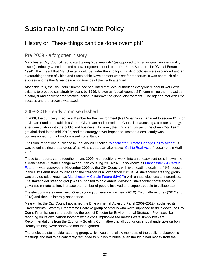# <span id="page-22-0"></span>Sustainability and Climate Policy

## <span id="page-22-1"></span>History or "These things can't be done overnight"

#### <span id="page-22-2"></span>Pre 2009 - a forgotten history

Manchester City Council had to start taking "sustainability" (as opposed to local air quality/water quality issues) seriously when it hosted a now-forgotten sequel to the Rio Earth Summit - the "Global Forum 1994". This meant that Manchester would be under the spotlight. Existing policies were rebranded and an overarching theme of Cities and Sustainable Development was set for the forum. It was not much of a success and neither Greenpeace nor Friends of the Earth attended.

Alongside this, the Rio Earth Summit had stipulated that local authorities everywhere should work with citizens to produce sustainability plans by 1996, known as "Local Agenda 21", committing them to act as a catalyst and convener for practical action to improve the global environment. The agenda met with little success and the process was axed.

#### <span id="page-22-3"></span>2008-2018 - early promise dashed

In 2008, the outgoing Executive Member for the Environment (Neil Swannick) managed to secure £1m for a Climate Fund, to establish a Green City Team and commit the Council to launching a climate strategy, after consultation with the public and business. However, the fund went unspent, the Green City Team got abolished in the mid 2010s, and the strategy never happened. Instead a desk study was commissioned from a London-based consultancy.

Their final report was published in January 2009 called ["Manchester Climate Change Call to Action"](http://www.manchesterclimate.com/sites/default/files/Mcr%20Climate%20Change%20Call%20to%20Action.pdf). It was so uninspiring that a group of activists created an alternative ["Call to Real Action"](https://calltorealaction.wordpress.com/first-report/) document in April 2009.

These two reports came together in late 2009, with additional work, into an uneasy synthesis known into a Manchester Climate Change Action Plan covering 2010-2020, also known as [Manchester -](https://www.manchesterclimate.com/sites/default/files/MACF%202010-20_0.pdf) A Certain [Future.](https://www.manchesterclimate.com/sites/default/files/MACF%202010-20_0.pdf) It was approved in November 2009 by the City Council, with two headline goals - a 41% reduction in the City's emissions by 2020 and the creation of a 'low carbon culture.' A stakeholder steering group was created (also known as [Manchester A Certain Future \(MACF\)\)](http://manchesterclimate.com/involved/manchester-certain-future-steering-group) with annual elections to it promised. The stakeholder steering group was supposed to hold annual day-long 'stakeholder conferences' to galvanise climate action, increase the number of people involved and support people to collaborate.

The elections were never held. One day-long conference was held (2010). Two half-day ones (2012 and 2013) and then unilaterally abandoned.

Meanwhile, the City Council abolished the Environmental Advisory Panel (2009-2012), abolished its Environmental Strategy Programme Board (a group of officers who were supposed to drive down the City Council's emissions) and abolished the post of Director for Environmental Strategy. Promises like reporting on its own carbon footprint with a consumption-based metrics were simply not kept. Recommendations from the Economy Scrutiny Committee that all councillors should undertake carbon literacy training, were approved and then ignored.

The unelected stakeholder steering group, which would not allow members of the public to observe its meetings and had to be constantly reminded to publish minutes (even though it had money from the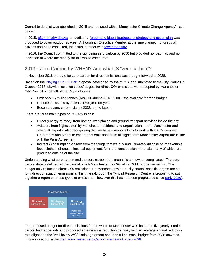Council to do this) was abolished in 2015 and replaced with a 'Manchester Climate Change Agency' - see below.

In 2015, [after lengthy delays,](https://manchesterclimatemonthly.net/2013/12/06/manchester-city-council-fails-to-produce-green-and-blue-spaces-strategy-for-50-gazillionth-time/) an additional ['green and blue infrastructure' strategy and action plan](https://www.manchester.gov.uk/downloads/download/6314/manchester_green_and_blue_strategy) was produced to cover outdoor spaces. Although an Executive Member at the time claimed hundreds of citizens had been consulted, the actual number was [fewer than fifty.](https://manchesterclimatemonthly.net/2015/02/10/councillor-rosa-battle-says-hundreds-consulted-on-green-infrastructure-actual-number-fewer-than-50/)

In 2016, the Council committed to the city being zero carbon by 2050 but provided no roadmap and no indication of where the money for this would come from.

#### <span id="page-23-0"></span>2019 - Zero Carbon by WHEN? And what IS "zero carbon"?

In November 2018 the date for zero carbon for direct emissions was brought forward to 2038.

Based on the [Playing Our Full Part](http://www.manchesterclimate.com/sites/default/files/POFP%20Proposal%20to%20MCC%2016.10.2018_0.pdf) proposal developed by the MCCA and submitted to the City Council in October 2018, citywide 'science based' targets for direct  $CO<sub>2</sub>$  emissions were adopted by Manchester City Council on behalf of the City as follows:

- Emit only 15 million tonnes (Mt)  $CO<sub>2</sub>$  during 2018-2100 the available 'carbon budget'
- Reduce emissions by at least 13% year-on-year
- Become a zero carbon city by 2038, at the latest

There are three main types of  $CO<sub>2</sub>$  emissions:

- Direct (energy-related): from homes, workplaces and ground transport activities inside the city
- Aviation: from flights taken by Manchester residents and organisations, from Manchester and other UK airports. Also recognising that we have a responsibility to work with UK Government, UK airports and others to ensure that emissions from all flights from Manchester Airport are in line with the Paris Agreement
- Indirect / consumption-based: from the things that we buy and ultimately dispose of, for example, food, clothes, phones, electrical equipment, furniture, construction materials, many of which are produced outside of the city.

Understanding what zero carbon and the zero carbon date means is somewhat complicated. The zero carbon date is defined as the date at which Manchester has 5% of its 15 Mt budget remaining. This budget only relates to direct CO<sub>2</sub> emissions. No Manchester wide or city council specific targets are set for indirect or aviation emissions at this time (although the Tyndall Research Centre is proposing to put together a report on these types of emissions – however this has not been progressed since [early 2020\)](https://democracy.manchester.gov.uk/documents/s14342/2%20Manchester%20Aviation%20Preliminary%20Findings.pdf).



The proposed budget for direct emissions for the whole of Manchester was based on five yearly interim carbon budget periods and proposed an emissions reduction pathway with an average annual reduction rate aligned to the "well below 2°C" Paris agreement and then a final small budget from 2038 onwards. This was set out in the [draft Manchester Zero Carbon Framework 2020-2038:](https://www.manchesterclimate.com/sites/default/files/Draft%20Manchester%20Zero%20Carbon%20Framework%202020-38.pdf)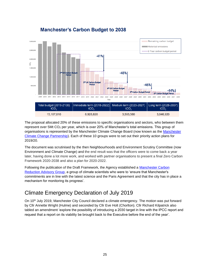

#### **Manchester's Carbon Budget to 2038**

The proposal allocated 20% of these emissions to specific organisations and sectors, who between them represent over 5Mt CO<sup>2</sup> per year, which is over 20% of Manchester's total emissions. This group of organisations is represented by the Manchester Climate Change Board (now known as the Manchester Climate Change Partnership). Each of these 10 groups were to set out their priority action plans for 2019/20.

The document was scrutinised by the then Neighbourhoods and Environment Scrutiny Committee (now Environment and Climate Change) and the end result was that the officers were to come back a year later, having done a lot more work, and worked with partner organisations to present a final Zero Carbon Framework 2020-2038 and also a plan for 2020-2022.

Following the publication of the Draft Framework, the Agency established a Manchester Carbon [Reduction Advisory Group,](http://www.manchesterclimate.com/zero-carbon-advisory-group) a group of climate scientists who were to 'ensure that Manchester's commitments are in line with the latest science and the Paris Agreement and that the city has in place a mechanism for monitoring its progress'.

## <span id="page-24-0"></span>Climate Emergency Declaration of July 2019

On 10<sup>th</sup> July 2019, Manchester City Council declared a climate emergency. The motion was put forward by Cllr Annette Wright (Hulme) and seconded by Cllr Eve Holt (Chorlton). Cllr Richard Kilpatrick also tabled an amendment 'explore the possibility of introducing a 2030 target in line with the IPCC report and request that a report on its viability be brought back to the Executive before the end of the year'.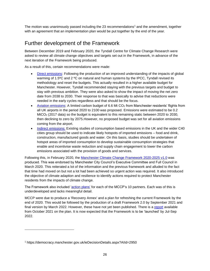The motion was unanimously passed including the 23 recommendations<sup>1</sup> and the amendment, together with an agreement that an implementation plan would be put together by the end of the year.

#### <span id="page-25-0"></span>Further development of the Framework

Between December 2019 and February 2020, the Tyndall Centre for Climate Change Research were asked to review all climate change objectives and targets set out in the Framework, in advance of the next iteration of the Framework being produced.

As a result of this, certain recommendations were made:

- [Direct emissions:](https://www.manchesterclimate.com/sites/default/files/Manchester%20Direct%20Carbon%20Budgets_Review%202020.pdf) Following the production of an improved understanding of the impacts of global warming of 1.5°C and 2 °C on natural and human systems by the IPCC, Tyndall revised its methodology and reset the budgets. This actually resulted in a higher available budget for Manchester. However, Tyndall recommended staying with the previous targets and budget to stay with previous ambition. They were also asked to show the impact of moving the net zero date from 2038 to 2030. Their response to that was basically to advise that reductions were needed in the early cycles regardless and that should be the focus.
- [Aviation emissions:](https://www.manchesterclimate.com/sites/default/files/Manchester%20Aviation%20Emissions_Review%202020.pdf) A limited carbon budget of 6.6 Mt  $CO<sub>2</sub>$  from Manchester residents' flights from all UK airports in the period 2020 to 2100 was proposed. Emissions were estimated to be 0.2 MtCO<sub>2</sub> (2017 data) so the budget is equivalent to this remaining static between 2020 to 2030, then declining to zero by 2075.However, no proposed budget was set for all aviation emissions coming from the airport.
- [Indirect emissions:](https://www.manchesterclimate.com/sites/default/files/Consumption%20Based%20Carbon%20Target%20Setting.pdf) Existing studies of consumption based emissions in the UK and the wider C40 cities group should be used to indicate likely hotspots of imported emissions – food and drink, construction, manufactured goods and water. On this basis, studies should be undertaken of hotspot areas of imported consumption to develop sustainable consumption strategies that enable and incentivise waste reduction and supply chain engagement to lower the carbon emissions associated with the provision of goods and services.

Following this, in February 2020, the [Manchester Climate Change Framework](https://www.manchesterclimate.com/sites/default/files/Manchester%20Climate%20Change%20Framework%202020-25.pdf) 2020-2025 v1.0 was produced. This was endorsed by Manchester City Council's Executive Committee and Full Council in March 2020. This reiterated a lot of the information and the previous framework and alluded to the fact that time had moved on but not a lot had been achieved so urgent action was required. It also introduced the objective of climate adaption and resilience to identify actions required to protect Manchester residents from the impacts of climate change.

The Framework also included ['action plans'](https://www.manchesterclimate.com/sites/default/files/Appendix%202%20-%20MCCP%20Action%20Plans%20Summary.pdf) for each of the MCCP's 10 partners. Each was of this is underdeveloped and lacks meaningful detail.

MCCP were due to produce a 'Recovery Annex' and a plan for refreshing the current Framework by the end of 2020. This would be followed by the production of a draft Framework 2.0 by September 2021 and final version by March 2022. However, these have not yet been published. There is a [report](https://democracy.manchester.gov.uk/documents/s27597/Manchester%20Climate%20Change%20Agency%20Report.pdf) available from October 2021 on the plan. It is now expected that the Framework is to be 'launched' by Jul-Sep 2022.

<sup>1</sup> https://democracy.manchester.gov.uk/ieDecisionDetails.aspx?AIId=2950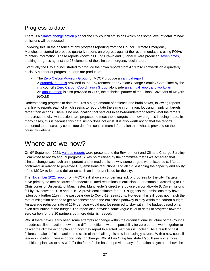## <span id="page-26-0"></span>Progress to date

There is a [climate change action plan](https://secure.manchester.gov.uk/info/500002/council_policies_and_strategies/3833/zero_carbon_manchester/4) for the city council emissions which has some level of detail of how emissions will be reduced.

Following this, in the absence of any progress reporting from the Council, Climate Emergency Manchester started to produce quarterly reports on progress against the recommendations using FOIAs to obtain information. These reports known as Hung Drawn and Quarterly were produced [seven times,](https://climateemergencymanchester.net/our-reports/) tracking progress against the 23 elements of the climate emergency declaration.

Eventually the City Council started to produce their own reports from April 2020 onwards on a quarterly basis. A number of progress reports are produced:

- The [Zero Carbon Advisory Group](#page-17-0) for MCCP produce an [annual report](https://www.manchesterclimate.com/progress)
- A [quarterly report is](https://secure.manchester.gov.uk/info/500002/council_policies_and_strategies/3833/zero_carbon_manchester/5) provided to the Environment and Climate Change Scrutiny Committee by the city council's [Zero Carbon Coordination Group,](#page-13-0) alongside [an annual report and workplan](https://secure.manchester.gov.uk/info/500002/council_policies_and_strategies/3833/zero_carbon_manchester/6)
- An [annual report](https://www.manchesterclimate.com/gcom-cdp-reports) is also provided to CDP, the technical partner of the Global Covenant of Mayors (GCoM)

Understanding progress to date requires a huge amount of patience and brain power, following reports that link to reports each of which seems to regurgitate the same information, focusing mainly on targets rather than actions. There is no one location that sets out in easy-to-understand terms what the targets are across the city, what actions are proposed to meet those targets and how progress is being made. In many cases, this is because this data simply does not exist. It is also worth noting that the reports presented to the scrutiny committee do often contain more information than what is provided on the council's website.

## <span id="page-26-1"></span>Where are we now?

On 9<sup>th</sup> September 2021, [various](https://democracy.manchester.gov.uk/ieListDocuments.aspx?CId=358&MId=3974&Ver=4) reports were presented to the Environment and Climate Change Scrutiny Committee to review annual progress. A key point raised by the committee that "if we accepted that climate change was such an important and immediate issue why some targets were listed as still 'to be confirmed' in relation to projected CO<sub>2</sub> emissions reductions" and also questioning the capacity and ability of the MCCA to lead and deliver on such an important issue for the city.

The [November 2021 report](https://www.manchesterclimate.com/sites/default/files/MCCA%20Annual%20Report%202021%20Final.pdf) from MCCP still shows a concerning lack of progress for the city. Targets have primary be met because of pandemic related reductions in emissions. For example, according to Dr Chris Jones of University of Manchester, Manchester's direct energy use carbon dioxide ( $CO<sub>2</sub>$ ) emissions fell by 3% between 2018 and 2019. A provisional estimate for 2020 suggests that emissions may have fallen by a further 11% in the past year due to Covid-19 restrictions. However, this still does not match the rate of mitigation needed to get Manchester onto the emissions pathway to stay within the carbon budget. An average reduction rate of 16% per year would now be required to stay within the budget based on an even distribution of the budget. The report also provides some vague level of detail of progress towards zero carbon for the 10 partners but more detail is needed.

Whilst there have clearly been some attempts at change within the organisational structure of the Council to address climate action, how these different officers with responsibility for zero carbon work together to deliver the climate action plan and how they report to elected members is unclear. As a result of past failures to take sufficient action, the scale of the challenge is now increasingly severe. With a new council leader in position, there is opportunity for change. Whilst Bev Craig has stated "you'll see some more ambitious plans as to how we" "fix the future", she has not provided any information as yet as to how she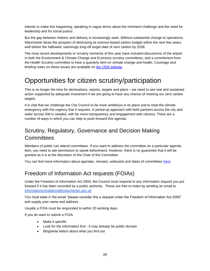intends to make this happening, speaking in vague terms about the imminent challenge and the need for leadership and for social justice.

But the gap between rhetoric and delivery is increasingly stark. Without substantial change to operations, Manchester faces the prospect of destroying its science-based carbon budget within the next few years, well before the hallowed, seemingly long-off target date of zero carbon by 2038.

The most recent developments or scrutiny moments of this year have included discussions of the airport in both the Environment & Climate Change and Economy scrutiny committees, and a commitment from the Health Scrutiny committee to hear a quarterly item on climate change and health. Coverage and briefing notes on these issues are available on [the CEM website.](https://climateemergencymanchester.net/our-reports/)

# <span id="page-27-0"></span>Opportunities for citizen scrutiny/participation

This is no longer the time for declarations, reports, targets and plans – we need to see real and sustained action supported by adequate investment if we are going to have any chance of meeting our zero carbon targets.

It is vital that we challenge the City Council to be more ambitious in its plans and to treat the climate emergency with the urgency that it requires. A joined-up approach with both partners across the city and wider across GM is needed, with far more transparency and engagement with citizens. There are a number of ways in which you can help to push forward this agenda.

## <span id="page-27-1"></span>Scrutiny, Regulatory, Governance and Decision Making **Committees**

Members of public can attend committees. If you want to address the committee on a particular agenda item, you need to ask permission to speak beforehand. However, there is no guarantee that it will be granted as it is at the discretion of the Chair of the Committee.

You can find more information about agendas, minutes, webcasts and dates of committees [here.](https://democracy.manchester.gov.uk/ieDocHome.aspx?bcr=1)

## <span id="page-27-2"></span>Freedom of Information Act requests (FOIAs)

Under the Freedom of Information Act 2000, the Council must respond to any information request you put forward if it has been recorded by a public authority. These are free to make by sending an email to [informationcompliance@manchester.gov.uk](mailto:informationcompliance@manchester.gov.uk) 

You must state in the email "please consider this a request under the Freedom of Information Act 2000" and supply your name and address.

Usually a FOIA must be responded to within 20 working days.

If you do want to submit a FOIA:

- Make it specific
- Look for the information first it may already be public domain
- Blog/write letters about what you find out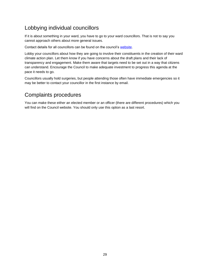## <span id="page-28-0"></span>Lobbying individual councillors

If it is about something in your ward, you have to go to your ward councillors. That is not to say you cannot approach others about more general issues.

Contact details for all councillors can be found on the council's [website.](https://democracy.manchester.gov.uk/mgMemberIndex.aspx?bcr=1)

Lobby your councillors about how they are going to involve their constituents in the creation of their ward climate action plan. Let them know if you have concerns about the draft plans and their lack of transparency and engagement. Make them aware that targets need to be set out in a way that citizens can understand. Encourage the Council to make adequate investment to progress this agenda at the pace it needs to go.

Councillors usually hold surgeries, but people attending those often have immediate emergencies so it may be better to contact your councillor in the first instance by email.

## <span id="page-28-1"></span>Complaints procedures

You can make these either an elected member or an officer (there are different procedures) which you will find on the Council website. You should only use this option as a last resort.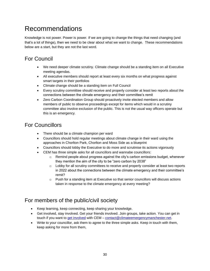# <span id="page-29-0"></span>Recommendations

Knowledge is not power. Power is power. If we are going to change the things that need changing (and that's a lot of things), then we need to be clear about what we want to change. These recommendations below are a start, but they are not the last word.

## <span id="page-29-1"></span>For Council

- We need deeper climate scrutiny. Climate change should be a standing item on all Executive meeting agendas.
- All executive members should report at least every six months on what progress against smart targets in their portfolios
- Climate change should be a standing item on Full Council
- Every scrutiny committee should receive and properly consider at least two reports about the connections between the climate emergency and their committee's remit
- Zero Carbon Coordination Group should proactively invite elected members and allow members of public to observe proceedings except for items which would in a scrutiny committee also involve exclusion of the public. This is not the usual way officers operate but this is an emergency.

## <span id="page-29-2"></span>For Councillors

- There should be a climate champion per ward
- Councillors should hold regular meetings about climate change in their ward using the approaches in Chorlton Park, Chorlton and Moss Side as a blueprint
- Councillors should lobby the Executive to do more and scrutinise its actions vigorously
- CEM has three simple asks for all councillors and wannabe councillors:
	- $\circ$  Remind people about progress against the city's carbon emissions budget, whenever they mention the aim of the city to be "zero carbon by 2038"
	- $\circ$  Lobby for all scrutiny committees to receive and properly consider at least two reports in 2022 about the connections between the climate emergency and their committee's remit?
	- $\circ$  Push for a standing item at Executive so that senior councillors will discuss actions taken in response to the climate emergency at every meeting?

## <span id="page-29-3"></span>For members of the public/civil society

- Keep learning, keep connecting, keep sharing your knowledge.
- <span id="page-29-4"></span>• Get involved, stay involved. Get your friends involved. Join groups, take action. You can get in touch if you want to [get involved](https://climateemergencymanchester.net/get-involved-2/) with CEM – [contact@climateemergencymanchester.net.](mailto:contact@climateemergencymanchester.net)
- Write to your councillor, ask them to agree to the three simple asks. Keep in touch with them, keep asking for more from them,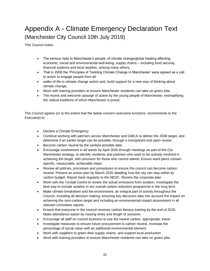# <span id="page-30-0"></span>Appendix A - Climate Emergency Declaration Text (Manchester City Council 10th July 2019)

This Council notes:

- The serious risks to Manchester's people, of climate change/global heating affecting economic, social and environmental well-being, supply chains – including food security, financial systems and local weather, among many others;
- That in 2008 the 'Principles of Tackling Climate Change in Manchester' were agreed as a call to action to engage people from all
- walks of life in climate change action and, build support for a new way of thinking about climate change;
- Work with training providers to ensure Manchester residents can take on green jobs
- The recent and welcome upsurge of action by the young people of Manchester, exemplifying the radical traditions of which Manchester is proud.

This Council agrees (or to the extent that the below concern executive functions, recommends to the Executive) to:

- Declare a Climate Emergency
- Continue working with partners across Manchester and GMCA to deliver the 2038 target, and determine if an earlier target can be possible, through a transparent and open review
- Become carbon neutral by the earliest possible date
- Encourage involvement in all wards by April 2020 through meetings as part of the Our Manchester strategy, to identify residents and partners who want to be actively involved in achieving the target, with provision for those who cannot attend. Ensure ward plans contain specific, measurable, achievable steps
- Review all policies, processes and procedures to ensure the council can become carbon neutral. Present an action plan by March 2020 detailing how the city can stay within its carbon budget. Report back regularly to the NESC. Review the corporate plan
- Work with the Tyndall Centre to review the actual emissions from aviation. Investigate the best way to include aviation in our overall carbon reduction programme in the long term
- Make climate breakdown and the environment, an integral part of activity throughout the Council, including all decision making, ensuring key decisions take into account the impact on achieving the zero-carbon target and including an environmental impact assessment in all relevant committee reports
- Ensure that everyone in the council receives carbon literacy training by the end of 2020. Make attendance easier by varying times and length of sessions
- Encourage all staff on council business to use the lowest carbon, appropriate, travel
- Investigate measures to ensure future procurement is carbon neutral. Increase the percentage of social value with an additional environmental element
- Work with suppliers to green their supply chains, and support local production
- Work with training providers to ensure Manchester residents can take on green jobs